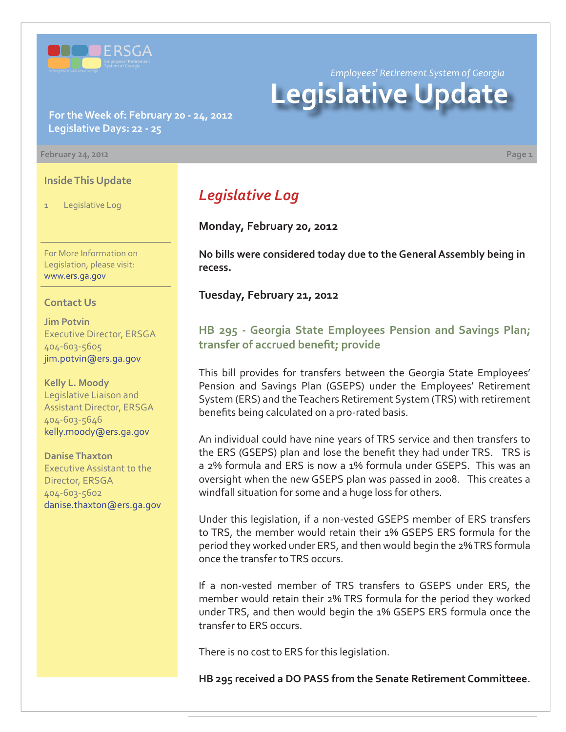

*Employees' Retirement System of Georgia*

# **Legislative Update**

**For the Week of: February 20 - 24, 2012 Legislative Days: 22 - 25**

**February 24, 2012 Page 1**

#### **Inside This Update**

1 Legislative Log

For More Information on Legislation, please visit: www.ers.ga.gov

#### **Contact Us**

**Jim Potvin** Executive Director, ERSGA 404-603-5605 jim.potvin@ers.ga.gov

**Kelly L. Moody** Legislative Liaison and Assistant Director, ERSGA 404-603-5646 kelly.moody@ers.ga.gov

**Danise Thaxton** Executive Assistant to the Director, ERSGA 404-603-5602 danise.thaxton@ers.ga.gov

# *Legislative Log*

**Monday, February 20, 2012**

**No bills were considered today due to the General Assembly being in recess.**

**Tuesday, February 21, 2012**

**[HB 295 - Georgia State Employees Pension and Savings Plan;](http://www.legis.ga.gov/legislation/en-US/Display/20112012/HB/295)**  transfer of accrued benefit; provide

This bill provides for transfers between the Georgia State Employees' Pension and Savings Plan (GSEPS) under the Employees' Retirement System (ERS) and the Teachers Retirement System (TRS) with retirement benefits being calculated on a pro-rated basis.

An individual could have nine years of TRS service and then transfers to the ERS (GSEPS) plan and lose the benefit they had under TRS. TRS is a 2% formula and ERS is now a 1% formula under GSEPS. This was an oversight when the new GSEPS plan was passed in 2008. This creates a windfall situation for some and a huge loss for others.

Under this legislation, if a non-vested GSEPS member of ERS transfers to TRS, the member would retain their 1% GSEPS ERS formula for the period they worked under ERS, and then would begin the 2% TRS formula once the transfer to TRS occurs.

If a non-vested member of TRS transfers to GSEPS under ERS, the member would retain their 2% TRS formula for the period they worked under TRS, and then would begin the 1% GSEPS ERS formula once the transfer to ERS occurs.

There is no cost to ERS for this legislation.

**HB 295 received a DO PASS from the Senate Retirement Committeee.**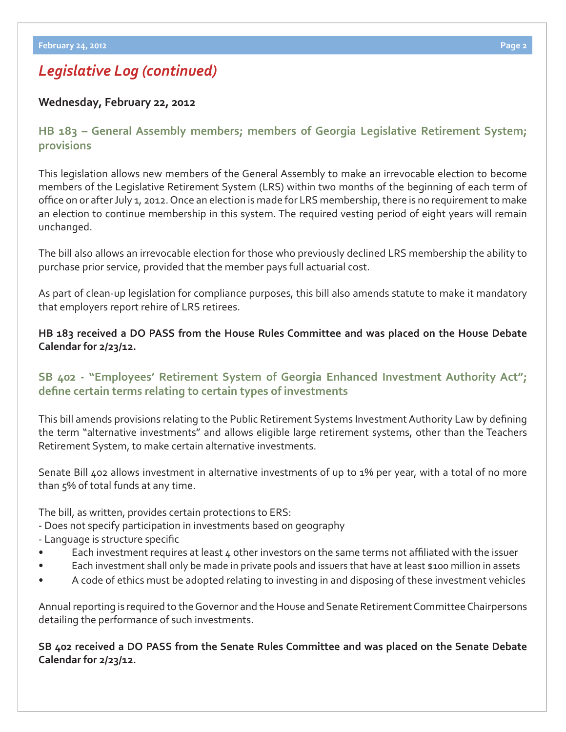# *Legislative Log (continued)*

#### **Wednesday, February 22, 2012**

**[HB 183 – General Assembly members; members of Georgia Legislative Retirement System;](http://www.legis.ga.gov/legislation/en-US/Display/20112012/HB/183) provisions**

This legislation allows new members of the General Assembly to make an irrevocable election to become members of the Legislative Retirement System (LRS) within two months of the beginning of each term of office on or after July 1, 2012. Once an election is made for LRS membership, there is no requirement to make an election to continue membership in this system. The required vesting period of eight years will remain unchanged.

The bill also allows an irrevocable election for those who previously declined LRS membership the ability to purchase prior service, provided that the member pays full actuarial cost.

As part of clean-up legislation for compliance purposes, this bill also amends statute to make it mandatory that employers report rehire of LRS retirees.

#### **HB 183 received a DO PASS from the House Rules Committee and was placed on the House Debate Calendar for 2/23/12.**

## **[SB 402 - "Employees' Retirement System of Georgia Enhanced Investment Authority Act";](http://www.legis.ga.gov/legislation/en-US/Display/20112012/SB/402)**  define certain terms relating to certain types of investments

This bill amends provisions relating to the Public Retirement Systems Investment Authority Law by defining the term "alternative investments" and allows eligible large retirement systems, other than the Teachers Retirement System, to make certain alternative investments.

Senate Bill 402 allows investment in alternative investments of up to 1% per year, with a total of no more than 5% of total funds at any time.

The bill, as written, provides certain protections to ERS:

- Does not specify participation in investments based on geography
- Language is structure specific
- Each investment requires at least 4 other investors on the same terms not affiliated with the issuer
- Each investment shall only be made in private pools and issuers that have at least \$100 million in assets
- A code of ethics must be adopted relating to investing in and disposing of these investment vehicles

Annual reporting is required to the Governor and the House and Senate Retirement Committee Chairpersons detailing the performance of such investments.

#### **SB 402 received a DO PASS from the Senate Rules Committee and was placed on the Senate Debate Calendar for 2/23/12.**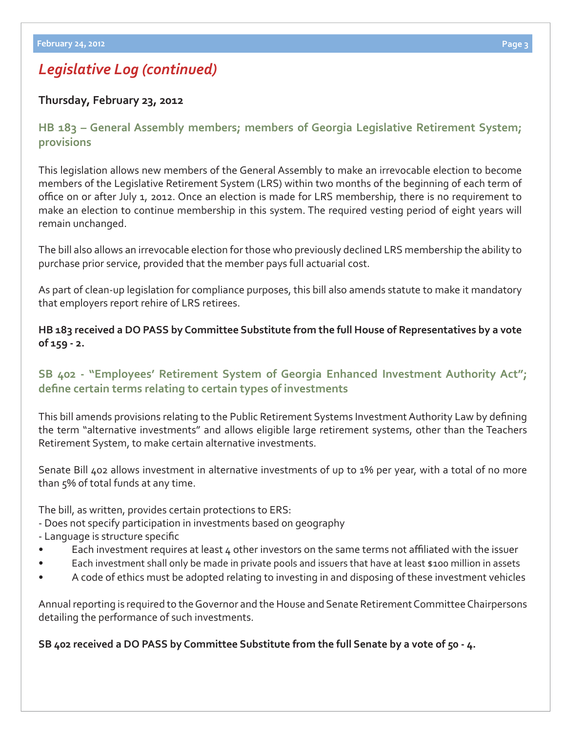# *Legislative Log (continued)*

## **Thursday, February 23, 2012**

**[HB 183 – General Assembly members; members of Georgia Legislative Retirement System;](http://www.legis.ga.gov/legislation/en-US/Display/20112012/HB/183)  provisions**

This legislation allows new members of the General Assembly to make an irrevocable election to become members of the Legislative Retirement System (LRS) within two months of the beginning of each term of office on or after July 1, 2012. Once an election is made for LRS membership, there is no requirement to make an election to continue membership in this system. The required vesting period of eight years will remain unchanged.

The bill also allows an irrevocable election for those who previously declined LRS membership the ability to purchase prior service, provided that the member pays full actuarial cost.

As part of clean-up legislation for compliance purposes, this bill also amends statute to make it mandatory that employers report rehire of LRS retirees.

### **HB 183 received a DO PASS by Committee Substitute from the full House of Representatives by a vote of 159 - 2.**

## **[SB 402 - "Employees' Retirement System of Georgia Enhanced Investment Authority Act";](http://www.legis.ga.gov/legislation/en-US/Display/20112012/SB/402)**  define certain terms relating to certain types of investments

This bill amends provisions relating to the Public Retirement Systems Investment Authority Law by defining the term "alternative investments" and allows eligible large retirement systems, other than the Teachers Retirement System, to make certain alternative investments.

Senate Bill 402 allows investment in alternative investments of up to 1% per year, with a total of no more than 5% of total funds at any time.

The bill, as written, provides certain protections to ERS:

- Does not specify participation in investments based on geography
- Language is structure specific
- Each investment requires at least 4 other investors on the same terms not affiliated with the issuer
- Each investment shall only be made in private pools and issuers that have at least \$100 million in assets
- A code of ethics must be adopted relating to investing in and disposing of these investment vehicles

Annual reporting is required to the Governor and the House and Senate Retirement Committee Chairpersons detailing the performance of such investments.

**SB 402 received a DO PASS by Committee Substitute from the full Senate by a vote of 50 - 4.**